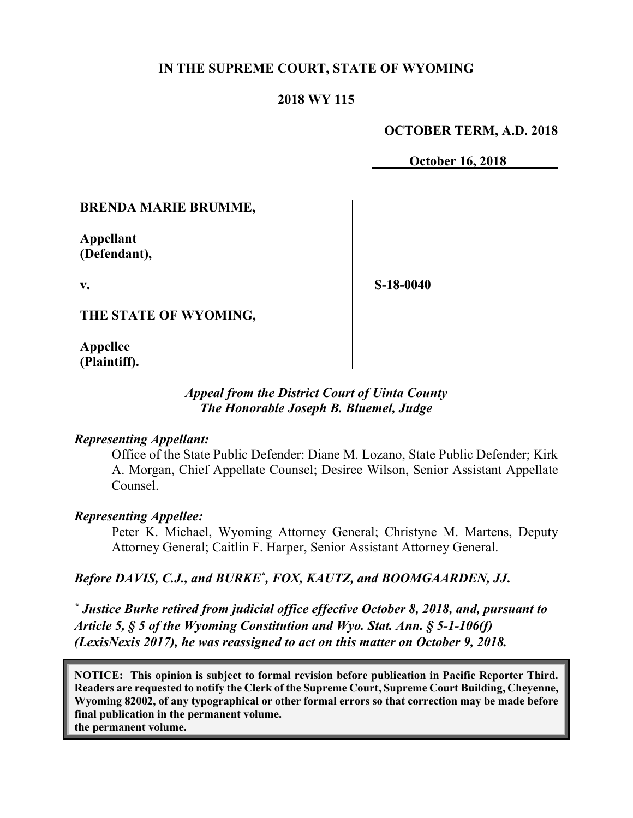## **IN THE SUPREME COURT, STATE OF WYOMING**

### **2018 WY 115**

#### **OCTOBER TERM, A.D. 2018**

**October 16, 2018**

#### **BRENDA MARIE BRUMME,**

**Appellant (Defendant),**

**v.**

**S-18-0040**

#### **THE STATE OF WYOMING,**

**Appellee (Plaintiff).**

### *Appeal from the District Court of Uinta County The Honorable Joseph B. Bluemel, Judge*

#### *Representing Appellant:*

Office of the State Public Defender: Diane M. Lozano, State Public Defender; Kirk A. Morgan, Chief Appellate Counsel; Desiree Wilson, Senior Assistant Appellate Counsel.

#### *Representing Appellee:*

Peter K. Michael, Wyoming Attorney General; Christyne M. Martens, Deputy Attorney General; Caitlin F. Harper, Senior Assistant Attorney General.

### Before DAVIS, C.J., and BURKE<sup>\*</sup>, FOX, KAUTZ, and BOOMGAARDEN, JJ.

*\* Justice Burke retired from judicial office effective October 8, 2018, and, pursuant to Article 5, § 5 of the Wyoming Constitution and Wyo. Stat. Ann. § 5-1-106(f) (LexisNexis 2017), he was reassigned to act on this matter on October 9, 2018.*

**NOTICE: This opinion is subject to formal revision before publication in Pacific Reporter Third. Readers are requested to notify the Clerk of the Supreme Court, Supreme Court Building, Cheyenne, Wyoming 82002, of any typographical or other formal errors so that correction may be made before final publication in the permanent volume. the permanent volume.**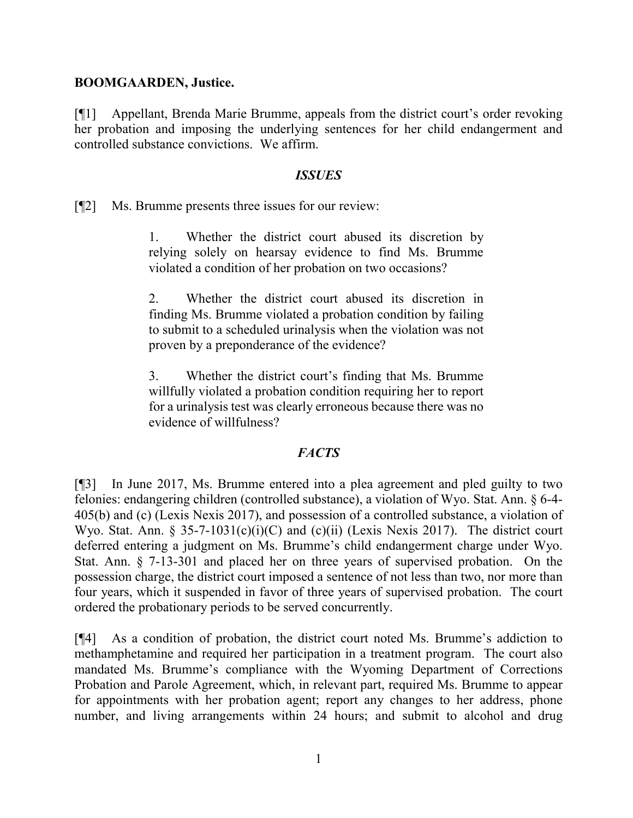### **BOOMGAARDEN, Justice.**

[¶1] Appellant, Brenda Marie Brumme, appeals from the district court's order revoking her probation and imposing the underlying sentences for her child endangerment and controlled substance convictions. We affirm.

### *ISSUES*

[¶2] Ms. Brumme presents three issues for our review:

1. Whether the district court abused its discretion by relying solely on hearsay evidence to find Ms. Brumme violated a condition of her probation on two occasions?

2. Whether the district court abused its discretion in finding Ms. Brumme violated a probation condition by failing to submit to a scheduled urinalysis when the violation was not proven by a preponderance of the evidence?

3. Whether the district court's finding that Ms. Brumme willfully violated a probation condition requiring her to report for a urinalysis test was clearly erroneous because there was no evidence of willfulness?

## *FACTS*

[¶3] In June 2017, Ms. Brumme entered into a plea agreement and pled guilty to two felonies: endangering children (controlled substance), a violation of Wyo. Stat. Ann. § 6-4- 405(b) and (c) (Lexis Nexis 2017), and possession of a controlled substance, a violation of Wyo. Stat. Ann. § 35-7-1031(c)(i)(C) and (c)(ii) (Lexis Nexis 2017). The district court deferred entering a judgment on Ms. Brumme's child endangerment charge under Wyo. Stat. Ann. § 7-13-301 and placed her on three years of supervised probation. On the possession charge, the district court imposed a sentence of not less than two, nor more than four years, which it suspended in favor of three years of supervised probation. The court ordered the probationary periods to be served concurrently.

[¶4] As a condition of probation, the district court noted Ms. Brumme's addiction to methamphetamine and required her participation in a treatment program. The court also mandated Ms. Brumme's compliance with the Wyoming Department of Corrections Probation and Parole Agreement, which, in relevant part, required Ms. Brumme to appear for appointments with her probation agent; report any changes to her address, phone number, and living arrangements within 24 hours; and submit to alcohol and drug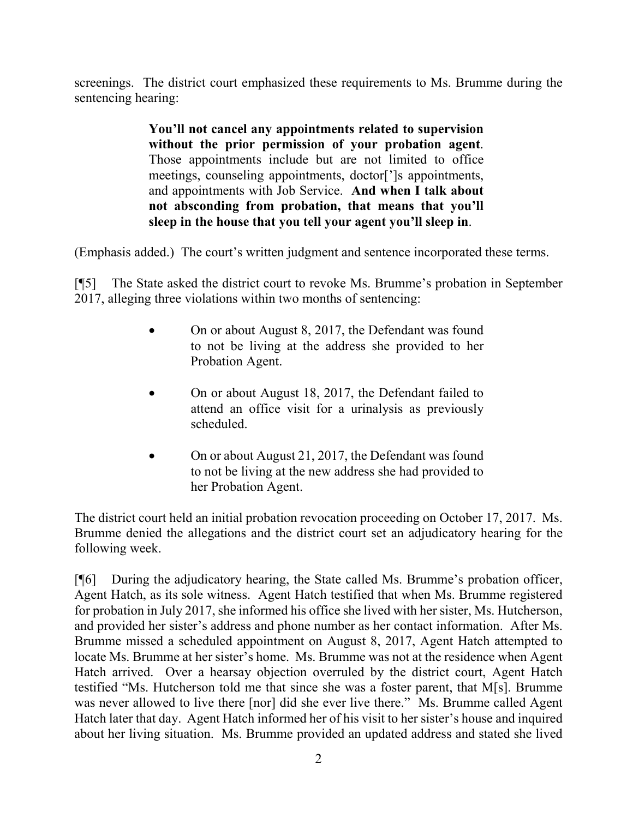screenings. The district court emphasized these requirements to Ms. Brumme during the sentencing hearing:

> **You'll not cancel any appointments related to supervision without the prior permission of your probation agent**. Those appointments include but are not limited to office meetings, counseling appointments, doctor[']s appointments, and appointments with Job Service. **And when I talk about not absconding from probation, that means that you'll sleep in the house that you tell your agent you'll sleep in**.

(Emphasis added.) The court's written judgment and sentence incorporated these terms.

[¶5] The State asked the district court to revoke Ms. Brumme's probation in September 2017, alleging three violations within two months of sentencing:

- On or about August 8, 2017, the Defendant was found to not be living at the address she provided to her Probation Agent.
- On or about August 18, 2017, the Defendant failed to attend an office visit for a urinalysis as previously scheduled.
- On or about August 21, 2017, the Defendant was found to not be living at the new address she had provided to her Probation Agent.

The district court held an initial probation revocation proceeding on October 17, 2017. Ms. Brumme denied the allegations and the district court set an adjudicatory hearing for the following week.

[¶6] During the adjudicatory hearing, the State called Ms. Brumme's probation officer, Agent Hatch, as its sole witness. Agent Hatch testified that when Ms. Brumme registered for probation in July 2017, she informed his office she lived with her sister, Ms. Hutcherson, and provided her sister's address and phone number as her contact information. After Ms. Brumme missed a scheduled appointment on August 8, 2017, Agent Hatch attempted to locate Ms. Brumme at her sister's home. Ms. Brumme was not at the residence when Agent Hatch arrived. Over a hearsay objection overruled by the district court, Agent Hatch testified "Ms. Hutcherson told me that since she was a foster parent, that M[s]. Brumme was never allowed to live there [nor] did she ever live there." Ms. Brumme called Agent Hatch later that day. Agent Hatch informed her of his visit to her sister's house and inquired about her living situation. Ms. Brumme provided an updated address and stated she lived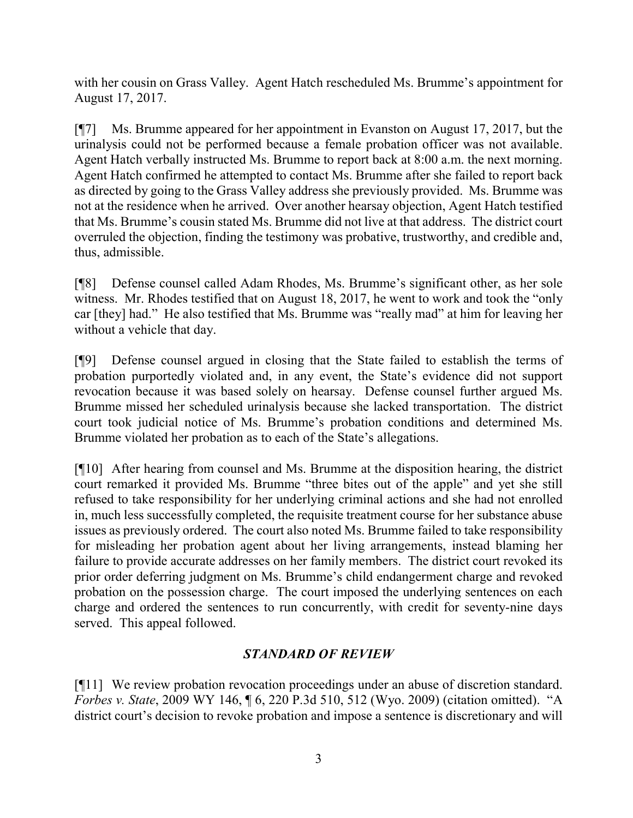with her cousin on Grass Valley. Agent Hatch rescheduled Ms. Brumme's appointment for August 17, 2017.

[¶7] Ms. Brumme appeared for her appointment in Evanston on August 17, 2017, but the urinalysis could not be performed because a female probation officer was not available. Agent Hatch verbally instructed Ms. Brumme to report back at 8:00 a.m. the next morning. Agent Hatch confirmed he attempted to contact Ms. Brumme after she failed to report back as directed by going to the Grass Valley address she previously provided. Ms. Brumme was not at the residence when he arrived. Over another hearsay objection, Agent Hatch testified that Ms. Brumme's cousin stated Ms. Brumme did not live at that address. The district court overruled the objection, finding the testimony was probative, trustworthy, and credible and, thus, admissible.

[¶8] Defense counsel called Adam Rhodes, Ms. Brumme's significant other, as her sole witness. Mr. Rhodes testified that on August 18, 2017, he went to work and took the "only car [they] had." He also testified that Ms. Brumme was "really mad" at him for leaving her without a vehicle that day.

[¶9] Defense counsel argued in closing that the State failed to establish the terms of probation purportedly violated and, in any event, the State's evidence did not support revocation because it was based solely on hearsay. Defense counsel further argued Ms. Brumme missed her scheduled urinalysis because she lacked transportation. The district court took judicial notice of Ms. Brumme's probation conditions and determined Ms. Brumme violated her probation as to each of the State's allegations.

[¶10] After hearing from counsel and Ms. Brumme at the disposition hearing, the district court remarked it provided Ms. Brumme "three bites out of the apple" and yet she still refused to take responsibility for her underlying criminal actions and she had not enrolled in, much less successfully completed, the requisite treatment course for her substance abuse issues as previously ordered. The court also noted Ms. Brumme failed to take responsibility for misleading her probation agent about her living arrangements, instead blaming her failure to provide accurate addresses on her family members. The district court revoked its prior order deferring judgment on Ms. Brumme's child endangerment charge and revoked probation on the possession charge. The court imposed the underlying sentences on each charge and ordered the sentences to run concurrently, with credit for seventy-nine days served. This appeal followed.

# *STANDARD OF REVIEW*

[¶11] We review probation revocation proceedings under an abuse of discretion standard. *Forbes v. State*, 2009 WY 146, ¶ 6, 220 P.3d 510, 512 (Wyo. 2009) (citation omitted). "A district court's decision to revoke probation and impose a sentence is discretionary and will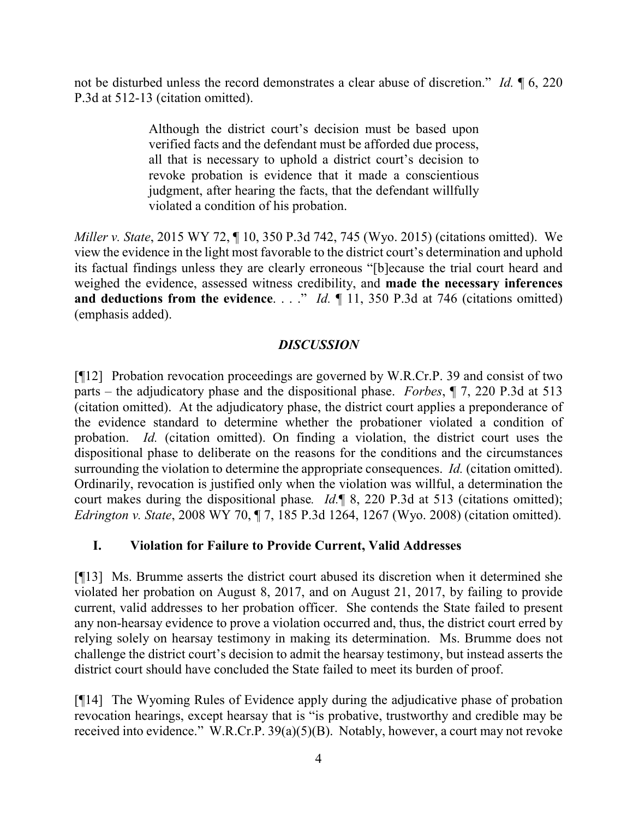not be disturbed unless the record demonstrates a clear abuse of discretion." *Id.* ¶ 6, 220 P.3d at 512-13 (citation omitted).

> Although the district court's decision must be based upon verified facts and the defendant must be afforded due process, all that is necessary to uphold a district court's decision to revoke probation is evidence that it made a conscientious judgment, after hearing the facts, that the defendant willfully violated a condition of his probation.

*Miller v. State*, 2015 WY 72, ¶ 10, 350 P.3d 742, 745 (Wyo. 2015) (citations omitted). We view the evidence in the light most favorable to the district court's determination and uphold its factual findings unless they are clearly erroneous "[b]ecause the trial court heard and weighed the evidence, assessed witness credibility, and **made the necessary inferences and deductions from the evidence.** . . ." *Id.*  $\parallel$  11, 350 P.3d at 746 (citations omitted) (emphasis added).

# *DISCUSSION*

[¶12] Probation revocation proceedings are governed by W.R.Cr.P. 39 and consist of two parts – the adjudicatory phase and the dispositional phase. *Forbes*, ¶ 7, 220 P.3d at 513 (citation omitted). At the adjudicatory phase, the district court applies a preponderance of the evidence standard to determine whether the probationer violated a condition of probation. *Id.* (citation omitted). On finding a violation, the district court uses the dispositional phase to deliberate on the reasons for the conditions and the circumstances surrounding the violation to determine the appropriate consequences. *Id.* (citation omitted). Ordinarily, revocation is justified only when the violation was willful, a determination the court makes during the dispositional phase*. Id.*¶ 8, 220 P.3d at 513 (citations omitted); *Edrington v. State*, 2008 WY 70, ¶ 7, 185 P.3d 1264, 1267 (Wyo. 2008) (citation omitted).

## **I. Violation for Failure to Provide Current, Valid Addresses**

[¶13] Ms. Brumme asserts the district court abused its discretion when it determined she violated her probation on August 8, 2017, and on August 21, 2017, by failing to provide current, valid addresses to her probation officer. She contends the State failed to present any non-hearsay evidence to prove a violation occurred and, thus, the district court erred by relying solely on hearsay testimony in making its determination. Ms. Brumme does not challenge the district court's decision to admit the hearsay testimony, but instead asserts the district court should have concluded the State failed to meet its burden of proof.

[¶14] The Wyoming Rules of Evidence apply during the adjudicative phase of probation revocation hearings, except hearsay that is "is probative, trustworthy and credible may be received into evidence." W.R.Cr.P. 39(a)(5)(B). Notably, however, a court may not revoke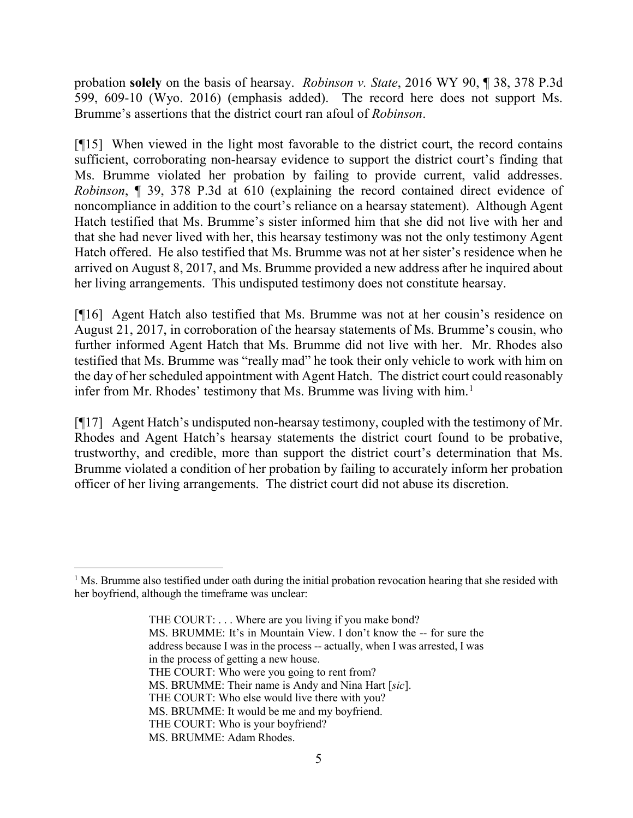probation **solely** on the basis of hearsay. *Robinson v. State*, 2016 WY 90, ¶ 38, 378 P.3d 599, 609-10 (Wyo. 2016) (emphasis added). The record here does not support Ms. Brumme's assertions that the district court ran afoul of *Robinson*.

[¶15] When viewed in the light most favorable to the district court, the record contains sufficient, corroborating non-hearsay evidence to support the district court's finding that Ms. Brumme violated her probation by failing to provide current, valid addresses. *Robinson*, ¶ 39, 378 P.3d at 610 (explaining the record contained direct evidence of noncompliance in addition to the court's reliance on a hearsay statement). Although Agent Hatch testified that Ms. Brumme's sister informed him that she did not live with her and that she had never lived with her, this hearsay testimony was not the only testimony Agent Hatch offered. He also testified that Ms. Brumme was not at her sister's residence when he arrived on August 8, 2017, and Ms. Brumme provided a new address after he inquired about her living arrangements. This undisputed testimony does not constitute hearsay.

[¶16] Agent Hatch also testified that Ms. Brumme was not at her cousin's residence on August 21, 2017, in corroboration of the hearsay statements of Ms. Brumme's cousin, who further informed Agent Hatch that Ms. Brumme did not live with her. Mr. Rhodes also testified that Ms. Brumme was "really mad" he took their only vehicle to work with him on the day of her scheduled appointment with Agent Hatch. The district court could reasonably infer from Mr. Rhodes' testimony that Ms. Brumme was living with him. [1](#page-5-0)

[¶17] Agent Hatch's undisputed non-hearsay testimony, coupled with the testimony of Mr. Rhodes and Agent Hatch's hearsay statements the district court found to be probative, trustworthy, and credible, more than support the district court's determination that Ms. Brumme violated a condition of her probation by failing to accurately inform her probation officer of her living arrangements. The district court did not abuse its discretion.

<span id="page-5-0"></span> $1$  Ms. Brumme also testified under oath during the initial probation revocation hearing that she resided with her boyfriend, although the timeframe was unclear:

THE COURT: . . . Where are you living if you make bond? MS. BRUMME: It's in Mountain View. I don't know the -- for sure the address because I was in the process -- actually, when I was arrested, I was in the process of getting a new house. THE COURT: Who were you going to rent from? MS. BRUMME: Their name is Andy and Nina Hart [*sic*]. THE COURT: Who else would live there with you? MS. BRUMME: It would be me and my boyfriend. THE COURT: Who is your boyfriend? MS. BRUMME: Adam Rhodes.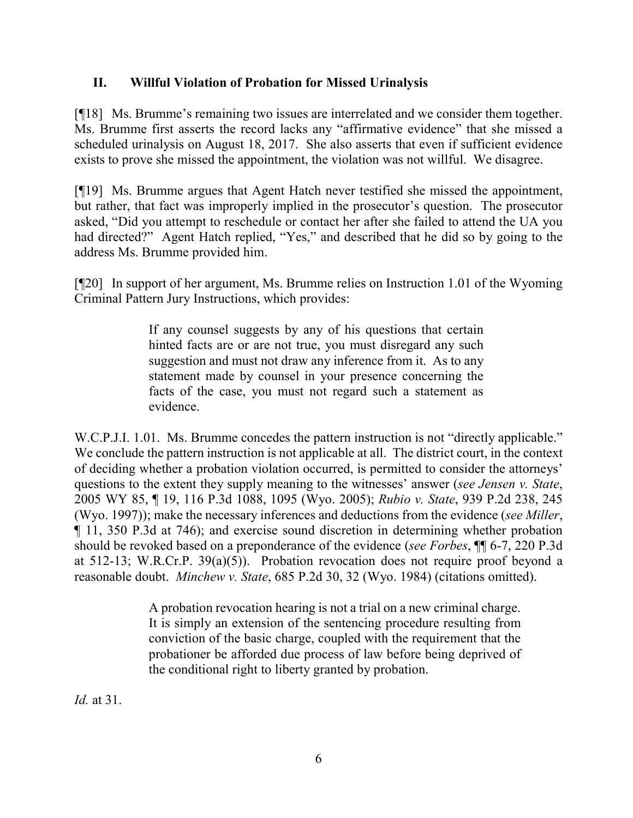## **II. Willful Violation of Probation for Missed Urinalysis**

[¶18] Ms. Brumme's remaining two issues are interrelated and we consider them together. Ms. Brumme first asserts the record lacks any "affirmative evidence" that she missed a scheduled urinalysis on August 18, 2017. She also asserts that even if sufficient evidence exists to prove she missed the appointment, the violation was not willful. We disagree.

[¶19] Ms. Brumme argues that Agent Hatch never testified she missed the appointment, but rather, that fact was improperly implied in the prosecutor's question. The prosecutor asked, "Did you attempt to reschedule or contact her after she failed to attend the UA you had directed?" Agent Hatch replied, "Yes," and described that he did so by going to the address Ms. Brumme provided him.

[¶20] In support of her argument, Ms. Brumme relies on Instruction 1.01 of the Wyoming Criminal Pattern Jury Instructions, which provides:

> If any counsel suggests by any of his questions that certain hinted facts are or are not true, you must disregard any such suggestion and must not draw any inference from it. As to any statement made by counsel in your presence concerning the facts of the case, you must not regard such a statement as evidence.

W.C.P.J.I. 1.01. Ms. Brumme concedes the pattern instruction is not "directly applicable." We conclude the pattern instruction is not applicable at all. The district court, in the context of deciding whether a probation violation occurred, is permitted to consider the attorneys' questions to the extent they supply meaning to the witnesses' answer (*see Jensen v. State*, 2005 WY 85, ¶ 19, 116 P.3d 1088, 1095 (Wyo. 2005); *Rubio v. State*, 939 P.2d 238, 245 (Wyo. 1997)); make the necessary inferences and deductions from the evidence (*see Miller*, ¶ 11, 350 P.3d at 746); and exercise sound discretion in determining whether probation should be revoked based on a preponderance of the evidence (*see Forbes*, ¶¶ 6-7, 220 P.3d at 512-13; W.R.Cr.P. 39(a)(5)). Probation revocation does not require proof beyond a reasonable doubt. *Minchew v. State*, 685 P.2d 30, 32 (Wyo. 1984) (citations omitted).

> A probation revocation hearing is not a trial on a new criminal charge. It is simply an extension of the sentencing procedure resulting from conviction of the basic charge, coupled with the requirement that the probationer be afforded due process of law before being deprived of the conditional right to liberty granted by probation.

*Id.* at 31.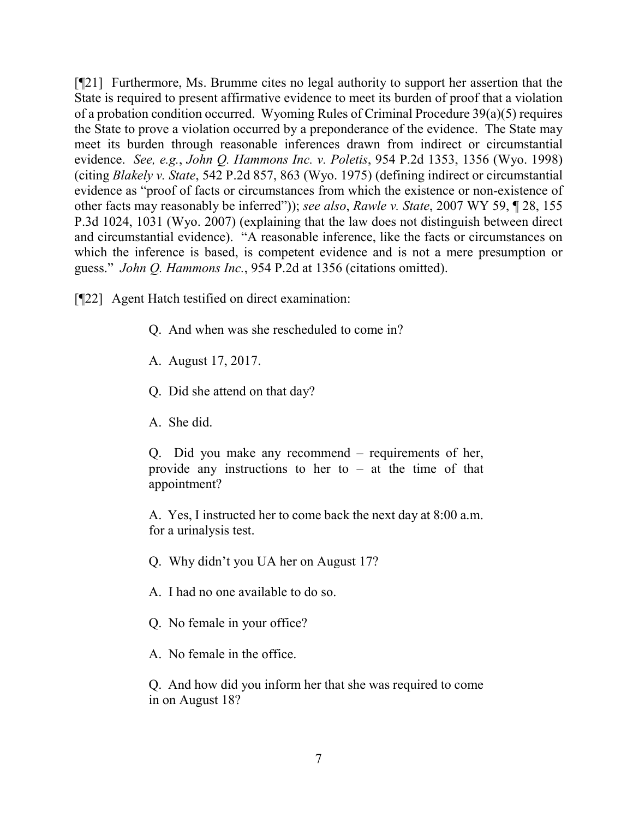[¶21] Furthermore, Ms. Brumme cites no legal authority to support her assertion that the State is required to present affirmative evidence to meet its burden of proof that a violation of a probation condition occurred. Wyoming Rules of Criminal Procedure 39(a)(5) requires the State to prove a violation occurred by a preponderance of the evidence. The State may meet its burden through reasonable inferences drawn from indirect or circumstantial evidence. *See, e.g.*, *John Q. Hammons Inc. v. Poletis*, 954 P.2d 1353, 1356 (Wyo. 1998) (citing *Blakely v. State*, 542 P.2d 857, 863 (Wyo. 1975) (defining indirect or circumstantial evidence as "proof of facts or circumstances from which the existence or non-existence of other facts may reasonably be inferred")); *see also*, *Rawle v. State*, 2007 WY 59, ¶ 28, 155 P.3d 1024, 1031 (Wyo. 2007) (explaining that the law does not distinguish between direct and circumstantial evidence). "A reasonable inference, like the facts or circumstances on which the inference is based, is competent evidence and is not a mere presumption or guess." *John Q. Hammons Inc.*, 954 P.2d at 1356 (citations omitted).

[¶22] Agent Hatch testified on direct examination:

- Q. And when was she rescheduled to come in?
- A. August 17, 2017.
- Q. Did she attend on that day?
- A. She did.

Q. Did you make any recommend – requirements of her, provide any instructions to her to – at the time of that appointment?

A. Yes, I instructed her to come back the next day at 8:00 a.m. for a urinalysis test.

- Q. Why didn't you UA her on August 17?
- A. I had no one available to do so.
- Q. No female in your office?
- A. No female in the office.

Q. And how did you inform her that she was required to come in on August 18?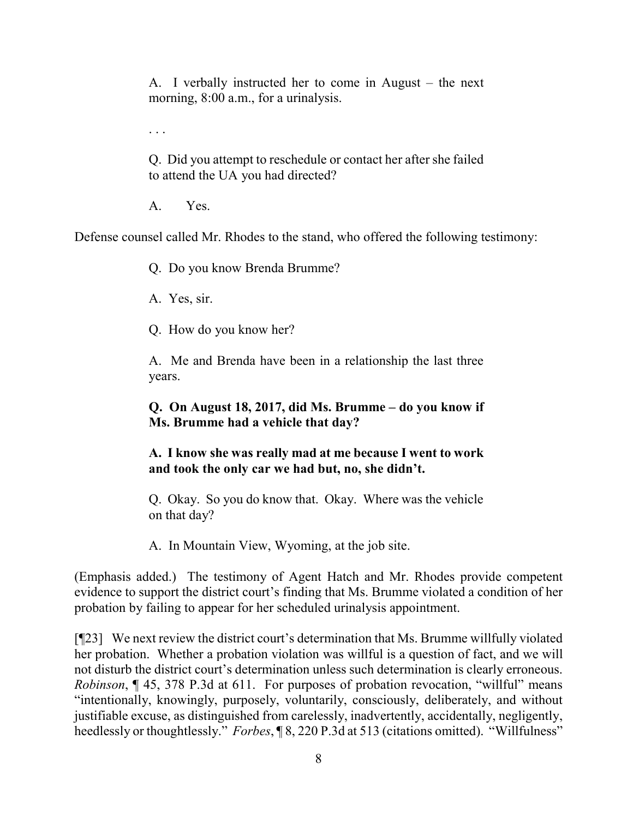A. I verbally instructed her to come in August – the next morning,  $8:00$  a.m., for a urinalysis.

. . .

Q. Did you attempt to reschedule or contact her after she failed to attend the UA you had directed?

A. Yes.

Defense counsel called Mr. Rhodes to the stand, who offered the following testimony:

Q. Do you know Brenda Brumme?

A. Yes, sir.

Q. How do you know her?

A. Me and Brenda have been in a relationship the last three years.

# **Q. On August 18, 2017, did Ms. Brumme – do you know if Ms. Brumme had a vehicle that day?**

## **A. I know she was really mad at me because I went to work and took the only car we had but, no, she didn't.**

Q. Okay. So you do know that. Okay. Where was the vehicle on that day?

A. In Mountain View, Wyoming, at the job site.

(Emphasis added.) The testimony of Agent Hatch and Mr. Rhodes provide competent evidence to support the district court's finding that Ms. Brumme violated a condition of her probation by failing to appear for her scheduled urinalysis appointment.

[¶23] We next review the district court's determination that Ms. Brumme willfully violated her probation. Whether a probation violation was willful is a question of fact, and we will not disturb the district court's determination unless such determination is clearly erroneous. *Robinson*, 145, 378 P.3d at 611. For purposes of probation revocation, "willful" means "intentionally, knowingly, purposely, voluntarily, consciously, deliberately, and without justifiable excuse, as distinguished from carelessly, inadvertently, accidentally, negligently, heedlessly or thoughtlessly." *Forbes*, ¶ 8, 220 P.3d at 513 (citations omitted). "Willfulness"